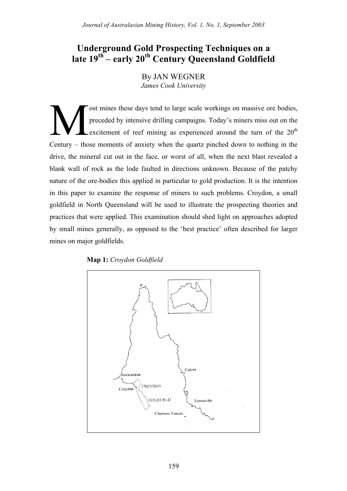# **Underground Gold Prospecting Techniques on a late 19th – early 20th Century Queensland Goldfield**

By JAN WEGNER *James Cook University*

ost mines these days tend to large scale workings on massive ore bodies, preceded by intensive drilling campaigns. Today's miners miss out on the excitement of reef mining as experienced around the turn of the  $20<sup>th</sup>$ Century – those moments of anxiety when the quartz pinched down to nothing in the drive, the mineral cut out in the face, or worst of all, when the next blast revealed a blank wall of rock as the lode faulted in directions unknown. Because of the patchy nature of the ore-bodies this applied in particular to gold production. It is the intention in this paper to examine the response of miners to such problems. Croydon, a small goldfield in North Queensland will be used to illustrate the prospecting theories and practices that were applied. This examination should shed light on approaches adopted by small mines generally, as opposed to the 'best practice' often described for larger mines on major goldfields. M

# **Map 1:** *Croydon Goldfield*

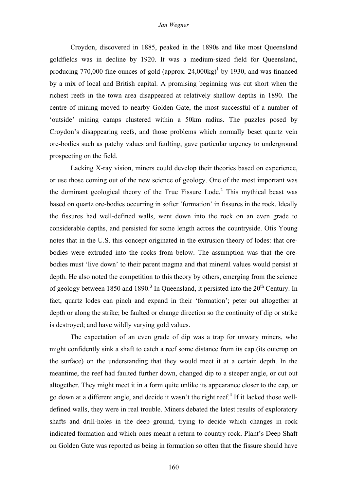Croydon, discovered in 1885, peaked in the 1890s and like most Queensland goldfields was in decline by 1920. It was a medium-sized field for Queensland, producing 770,000 fine ounces of gold (approx.  $24,000kg$ <sup>1</sup> by 1930, and was financed by a mix of local and British capital. A promising beginning was cut short when the richest reefs in the town area disappeared at relatively shallow depths in 1890. The centre of mining moved to nearby Golden Gate, the most successful of a number of 'outside' mining camps clustered within a 50km radius. The puzzles posed by Croydon's disappearing reefs, and those problems which normally beset quartz vein ore-bodies such as patchy values and faulting, gave particular urgency to underground prospecting on the field.

Lacking X-ray vision, miners could develop their theories based on experience, or use those coming out of the new science of geology. One of the most important was the dominant geological theory of the True Fissure Lode.<sup>2</sup> This mythical beast was based on quartz ore-bodies occurring in softer 'formation' in fissures in the rock. Ideally the fissures had well-defined walls, went down into the rock on an even grade to considerable depths, and persisted for some length across the countryside. Otis Young notes that in the U.S. this concept originated in the extrusion theory of lodes: that orebodies were extruded into the rocks from below. The assumption was that the orebodies must 'live down' to their parent magma and that mineral values would persist at depth. He also noted the competition to this theory by others, emerging from the science of geology between 1850 and 1890.<sup>3</sup> In Queensland, it persisted into the  $20<sup>th</sup>$  Century. In fact, quartz lodes can pinch and expand in their 'formation'; peter out altogether at depth or along the strike; be faulted or change direction so the continuity of dip or strike is destroyed; and have wildly varying gold values.

The expectation of an even grade of dip was a trap for unwary miners, who might confidently sink a shaft to catch a reef some distance from its cap (its outcrop on the surface) on the understanding that they would meet it at a certain depth. In the meantime, the reef had faulted further down, changed dip to a steeper angle, or cut out altogether. They might meet it in a form quite unlike its appearance closer to the cap, or go down at a different angle, and decide it wasn't the right reef.<sup>4</sup> If it lacked those welldefined walls, they were in real trouble. Miners debated the latest results of exploratory shafts and drill-holes in the deep ground, trying to decide which changes in rock indicated formation and which ones meant a return to country rock. Plant's Deep Shaft on Golden Gate was reported as being in formation so often that the fissure should have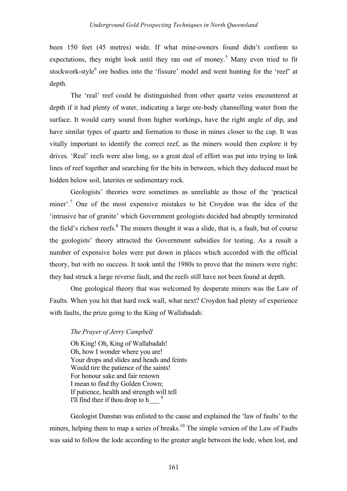been 150 feet (45 metres) wide. If what mine-owners found didn't conform to expectations, they might look until they ran out of money.<sup>5</sup> Many even tried to fit stockwork-style<sup>6</sup> ore bodies into the 'fissure' model and went hunting for the 'reef' at depth.

The 'real' reef could be distinguished from other quartz veins encountered at depth if it had plenty of water, indicating a large ore-body channelling water from the surface. It would carry sound from higher workings, have the right angle of dip, and have similar types of quartz and formation to those in mines closer to the cap. It was vitally important to identify the correct reef, as the miners would then explore it by drives. 'Real' reefs were also long, so a great deal of effort was put into trying to link lines of reef together and searching for the bits in between, which they deduced must be hidden below soil, laterites or sedimentary rock.

Geologists' theories were sometimes as unreliable as those of the 'practical miner'.<sup>7</sup> One of the most expensive mistakes to hit Croydon was the idea of the 'intrusive bar of granite' which Government geologists decided had abruptly terminated the field's richest reefs. $8$  The miners thought it was a slide, that is, a fault, but of course the geologists' theory attracted the Government subsidies for testing. As a result a number of expensive holes were put down in places which accorded with the official theory, but with no success. It took until the 1980s to prove that the miners were right: they had struck a large reverse fault, and the reefs still have not been found at depth.

One geological theory that was welcomed by desperate miners was the Law of Faults. When you hit that hard rock wall, what next? Croydon had plenty of experience with faults, the prize going to the King of Wallabadah:

# *The Prayer of Jerry Campbell*

Oh King! Oh, King of Wallabadah! Oh, how I wonder where you are! Your drops and slides and heads and feints Would tire the patience of the saints! For honour sake and fair renown I mean to find thy Golden Crown; If patience, health and strength will tell I'll find thee if thou drop to h $^{9}$ 

Geologist Dunstan was enlisted to the cause and explained the 'law of faults' to the miners, helping them to map a series of breaks.<sup>10</sup> The simple version of the Law of Faults was said to follow the lode according to the greater angle between the lode, when lost, and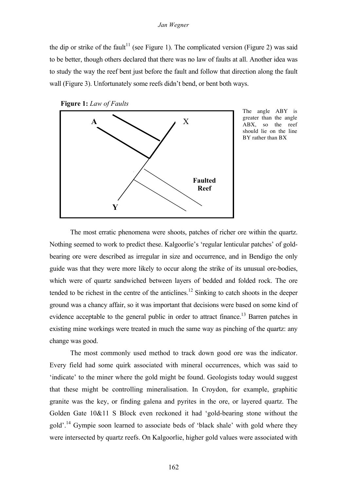#### *Jan Wegner*

the dip or strike of the fault<sup>11</sup> (see Figure 1). The complicated version (Figure 2) was said to be better, though others declared that there was no law of faults at all. Another idea was to study the way the reef bent just before the fault and follow that direction along the fault wall (Figure 3). Unfortunately some reefs didn't bend, or bent both ways.





The angle ABY is greater than the angle ABX, so the reef should lie on the line BY rather than BX

The most erratic phenomena were shoots, patches of richer ore within the quartz. Nothing seemed to work to predict these. Kalgoorlie's 'regular lenticular patches' of goldbearing ore were described as irregular in size and occurrence, and in Bendigo the only guide was that they were more likely to occur along the strike of its unusual ore-bodies, which were of quartz sandwiched between layers of bedded and folded rock. The ore tended to be richest in the centre of the anticlines.<sup>12</sup> Sinking to catch shoots in the deeper ground was a chancy affair, so it was important that decisions were based on some kind of evidence acceptable to the general public in order to attract finance.<sup>13</sup> Barren patches in existing mine workings were treated in much the same way as pinching of the quartz: any change was good.

The most commonly used method to track down good ore was the indicator. Every field had some quirk associated with mineral occurrences, which was said to 'indicate' to the miner where the gold might be found. Geologists today would suggest that these might be controlling mineralisation. In Croydon, for example, graphitic granite was the key, or finding galena and pyrites in the ore, or layered quartz. The Golden Gate 10&11 S Block even reckoned it had 'gold-bearing stone without the gold'.14 Gympie soon learned to associate beds of 'black shale' with gold where they were intersected by quartz reefs. On Kalgoorlie, higher gold values were associated with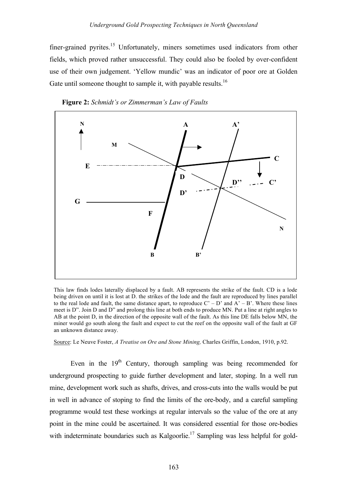finer-grained pyrites.<sup>15</sup> Unfortunately, miners sometimes used indicators from other fields, which proved rather unsuccessful. They could also be fooled by over-confident use of their own judgement. 'Yellow mundic' was an indicator of poor ore at Golden Gate until someone thought to sample it, with payable results.<sup>16</sup>





This law finds lodes laterally displaced by a fault. AB represents the strike of the fault. CD is a lode being driven on until it is lost at D. the strikes of the lode and the fault are reproduced by lines parallel to the real lode and fault, the same distance apart, to reproduce  $C' - D'$  and  $A' - B'$ . Where these lines meet is D". Join D and D" and prolong this line at both ends to produce MN. Put a line at right angles to AB at the point D, in the direction of the opposite wall of the fault. As this line DE falls below MN, the miner would go south along the fault and expect to cut the reef on the opposite wall of the fault at GF an unknown distance away.

Source: Le Neuve Foster, *A Treatise on Ore and Stone Mining,* Charles Griffin, London, 1910, p.92.

Even in the  $19<sup>th</sup>$  Century, thorough sampling was being recommended for underground prospecting to guide further development and later, stoping. In a well run mine, development work such as shafts, drives, and cross-cuts into the walls would be put in well in advance of stoping to find the limits of the ore-body, and a careful sampling programme would test these workings at regular intervals so the value of the ore at any point in the mine could be ascertained. It was considered essential for those ore-bodies with indeterminate boundaries such as Kalgoorlie.<sup>17</sup> Sampling was less helpful for gold-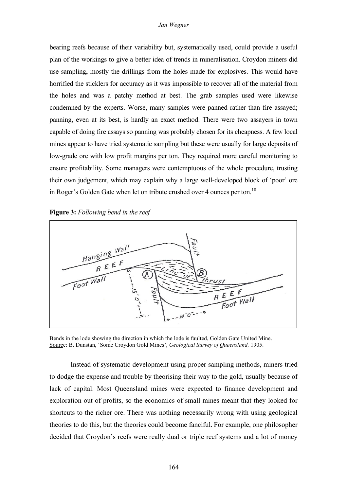### *Jan Wegner*

bearing reefs because of their variability but, systematically used, could provide a useful plan of the workings to give a better idea of trends in mineralisation. Croydon miners did use sampling**,** mostly the drillings from the holes made for explosives. This would have horrified the sticklers for accuracy as it was impossible to recover all of the material from the holes and was a patchy method at best. The grab samples used were likewise condemned by the experts. Worse, many samples were panned rather than fire assayed; panning, even at its best, is hardly an exact method. There were two assayers in town capable of doing fire assays so panning was probably chosen for its cheapness. A few local mines appear to have tried systematic sampling but these were usually for large deposits of low-grade ore with low profit margins per ton. They required more careful monitoring to ensure profitability. Some managers were contemptuous of the whole procedure, trusting their own judgement, which may explain why a large well-developed block of 'poor' ore in Roger's Golden Gate when let on tribute crushed over 4 ounces per ton.<sup>18</sup>





Bends in the lode showing the direction in which the lode is faulted, Golden Gate United Mine. Source: B. Dunstan, 'Some Croydon Gold Mines', *Geological Survey of Queensland,* 1905.

Instead of systematic development using proper sampling methods, miners tried to dodge the expense and trouble by theorising their way to the gold, usually because of lack of capital. Most Queensland mines were expected to finance development and exploration out of profits, so the economics of small mines meant that they looked for shortcuts to the richer ore. There was nothing necessarily wrong with using geological theories to do this, but the theories could become fanciful. For example, one philosopher decided that Croydon's reefs were really dual or triple reef systems and a lot of money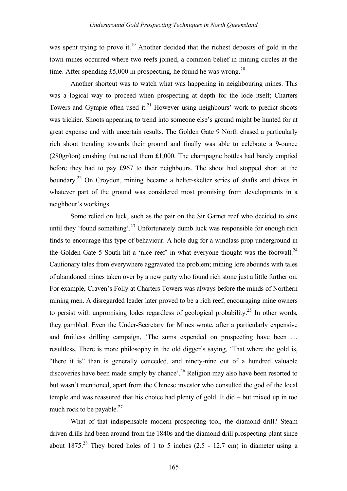was spent trying to prove it.<sup>19</sup> Another decided that the richest deposits of gold in the town mines occurred where two reefs joined, a common belief in mining circles at the time. After spending £5,000 in prospecting, he found he was wrong.<sup>20</sup>

Another shortcut was to watch what was happening in neighbouring mines. This was a logical way to proceed when prospecting at depth for the lode itself; Charters Towers and Gympie often used it. $21$  However using neighbours' work to predict shoots was trickier. Shoots appearing to trend into someone else's ground might be hunted for at great expense and with uncertain results. The Golden Gate 9 North chased a particularly rich shoot trending towards their ground and finally was able to celebrate a 9-ounce (280gr/ton) crushing that netted them £1,000. The champagne bottles had barely emptied before they had to pay £967 to their neighbours. The shoot had stopped short at the boundary.<sup>22</sup> On Croydon, mining became a helter-skelter series of shafts and drives in whatever part of the ground was considered most promising from developments in a neighbour's workings.

Some relied on luck, such as the pair on the Sir Garnet reef who decided to sink until they 'found something'.<sup>23</sup> Unfortunately dumb luck was responsible for enough rich finds to encourage this type of behaviour. A hole dug for a windlass prop underground in the Golden Gate 5 South hit a 'nice reef' in what everyone thought was the footwall.<sup>24</sup> Cautionary tales from everywhere aggravated the problem; mining lore abounds with tales of abandoned mines taken over by a new party who found rich stone just a little further on. For example, Craven's Folly at Charters Towers was always before the minds of Northern mining men. A disregarded leader later proved to be a rich reef, encouraging mine owners to persist with unpromising lodes regardless of geological probability.<sup>25</sup> In other words, they gambled. Even the Under-Secretary for Mines wrote, after a particularly expensive and fruitless drilling campaign, 'The sums expended on prospecting have been … resultless. There is more philosophy in the old digger's saying, 'That where the gold is, "there it is" than is generally conceded, and ninety-nine out of a hundred valuable discoveries have been made simply by chance'.<sup>26</sup> Religion may also have been resorted to but wasn't mentioned, apart from the Chinese investor who consulted the god of the local temple and was reassured that his choice had plenty of gold. It did – but mixed up in too much rock to be payable.<sup>27</sup>

What of that indispensable modern prospecting tool, the diamond drill? Steam driven drills had been around from the 1840s and the diamond drill prospecting plant since about  $1875<sup>28</sup>$  They bored holes of 1 to 5 inches (2.5 - 12.7 cm) in diameter using a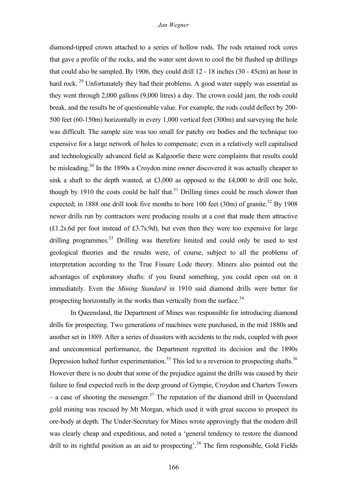diamond-tipped crown attached to a series of hollow rods. The rods retained rock cores that gave a profile of the rocks, and the water sent down to cool the bit flushed up drillings that could also be sampled. By 1906, they could drill 12 - 18 inches (30 - 45cm) an hour in hard rock.<sup>29</sup> Unfortunately they had their problems. A good water supply was essential as they went through 2,000 gallons (9,000 litres) a day. The crown could jam, the rods could break, and the results be of questionable value. For example, the rods could deflect by 200- 500 feet (60-150m) horizontally in every 1,000 vertical feet (300m) and surveying the hole was difficult. The sample size was too small for patchy ore bodies and the technique too expensive for a large network of holes to compensate; even in a relatively well capitalised and technologically advanced field as Kalgoorlie there were complaints that results could be misleading.<sup>30</sup> In the 1890s a Croydon mine owner discovered it was actually cheaper to sink a shaft to the depth wanted, at  $£3,000$  as opposed to the  $£4,000$  to drill one hole, though by 1910 the costs could be half that.<sup>31</sup> Drilling times could be much slower than expected; in 1888 one drill took five months to bore 100 feet  $(30m)$  of granite.<sup>32</sup> By 1908 newer drills run by contractors were producing results at a cost that made them attractive (£1.2s.6d per foot instead of £3.7s.9d), but even then they were too expensive for large drilling programmes.<sup>33</sup> Drilling was therefore limited and could only be used to test geological theories and the results were, of course, subject to all the problems of interpretation according to the True Fissure Lode theory. Miners also pointed out the advantages of exploratory shafts: if you found something, you could open out on it immediately. Even the *Mining Standard* in 1910 said diamond drills were better for prospecting horizontally in the works than vertically from the surface.<sup>34</sup>

In Queensland, the Department of Mines was responsible for introducing diamond drills for prospecting. Two generations of machines were purchased, in the mid 1880s and another set in 1889. After a series of disasters with accidents to the rods, coupled with poor and uneconomical performance, the Department regretted its decision and the 1890s Depression halted further experimentation.<sup>35</sup> This led to a reversion to prospecting shafts.<sup>36</sup> However there is no doubt that some of the prejudice against the drills was caused by their failure to find expected reefs in the deep ground of Gympie, Croydon and Charters Towers – a case of shooting the messenger.<sup>37</sup> The reputation of the diamond drill in Queensland gold mining was rescued by Mt Morgan, which used it with great success to prospect its ore-body at depth. The Under-Secretary for Mines wrote approvingly that the modern drill was clearly cheap and expeditious, and noted a 'general tendency to restore the diamond drill to its rightful position as an aid to prospecting'.<sup>38</sup> The firm responsible, Gold Fields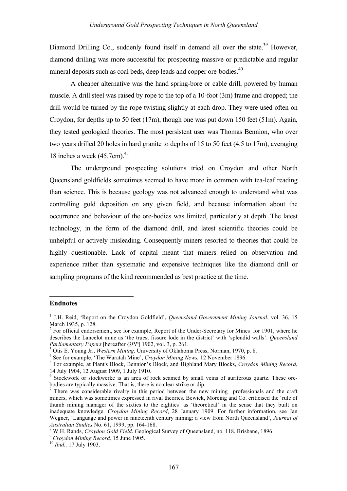Diamond Drilling Co., suddenly found itself in demand all over the state.<sup>39</sup> However, diamond drilling was more successful for prospecting massive or predictable and regular mineral deposits such as coal beds, deep leads and copper ore-bodies.<sup>40</sup>

A cheaper alternative was the hand spring-bore or cable drill, powered by human muscle. A drill steel was raised by rope to the top of a 10-foot (3m) frame and dropped; the drill would be turned by the rope twisting slightly at each drop. They were used often on Croydon, for depths up to 50 feet (17m), though one was put down 150 feet (51m). Again, they tested geological theories. The most persistent user was Thomas Bennion, who over two years drilled 20 holes in hard granite to depths of 15 to 50 feet (4.5 to 17m), averaging 18 inches a week (45.7cm). 41

The underground prospecting solutions tried on Croydon and other North Queensland goldfields sometimes seemed to have more in common with tea-leaf reading than science. This is because geology was not advanced enough to understand what was controlling gold deposition on any given field, and because information about the occurrence and behaviour of the ore-bodies was limited, particularly at depth. The latest technology, in the form of the diamond drill, and latest scientific theories could be unhelpful or actively misleading. Consequently miners resorted to theories that could be highly questionable. Lack of capital meant that miners relied on observation and experience rather than systematic and expensive techniques like the diamond drill or sampling programs of the kind recommended as best practice at the time.

## **Endnotes**

l

<sup>&</sup>lt;sup>1</sup> J.H. Reid, 'Report on the Croydon Goldfield', *Queensland Government Mining Journal*, vol. 36, 15 March 1935, p. 128.

 $2^2$  For official endorsement, see for example, Report of the Under-Secretary for Mines for 1901, where he describes the Lancelot mine as 'the truest fissure lode in the district' with 'splendid walls'. *Queensland Parliamentary Papers* [hereafter *QPP*] 1902, vol. 3, p. 261.

<sup>&</sup>lt;sup>3</sup> Otis E. Young Jr., *Western Mining*. University of Oklahoma Press, Norman, 1970, p. 8.<br>
<sup>4</sup> See for example, 'The Waratah Mine', *Croydon Mining News*, 12 November 1896.<br>
<sup>5</sup> For example, at Plant's Block, Bennion's Bl

 $6$  Stockwork or stockwerke is an area of rock seamed by small veins of auriferous quartz. These orebodies are typically massive. That is, there is no clear strike or dip.<br><sup>7</sup> There was considerable rivalry in this period between the new mining professionals and the craft

miners, which was sometimes expressed in rival theories. Bewick, Moreing and Co. criticised the 'rule of thumb mining manager of the sixties to the eighties' as 'theoretical' in the sense that they built on inadequate knowledge. *Croydon Mining Record*, 28 January 1909. For further information, see Jan Wegner, 'Language and power in nineteenth century mining: a view from North Queensland', *Journal of* Australian Studies No. 61, 1999, pp. 164-168.<br><sup>8</sup> W.H. Rands, *Croydon Gold Field*. Geological Survey of Queensland, no. 118, Brisbane, 1896.<br><sup>9</sup> Croydon Mining Record, 15 June 1905.<br><sup>10</sup> Ibid., 17 July 1903.